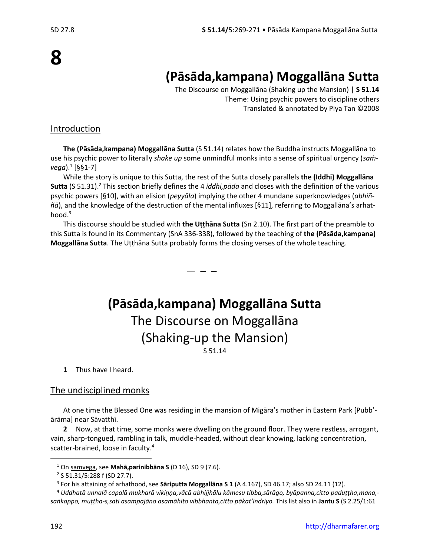# **(Pāsāda,kampana) Moggallāna Sutta**

The Discourse on Moggallāna (Shaking up the Mansion) | **S 51.14** Theme: Using psychic powers to discipline others Translated & annotated by Piya Tan ©2008

## Introduction

**The (Pāsāda,kampana) Moggallāna Sutta** (S 51.14) relates how the Buddha instructs Moggallāna to use his psychic power to literally *shake up* some unmindful monks into a sense of spiritual urgency (*saṁvega*).<sup>1</sup> [§§1-7]

While the story is unique to this Sutta, the rest of the Sutta closely parallels **the (Iddhi) Moggallāna Sutta** (S 51.31).<sup>2</sup> This section briefly defines the 4 *iddhi,pāda* and closes with the definition of the various psychic powers [§10], with an elision (*peyyāla*) implying the other 4 mundane superknowledges (*abhiññā*), and the knowledge of the destruction of the mental influxes [§11], referring to Moggallāna's arhathood.<sup>3</sup>

This discourse should be studied with **the Uṭṭhāna Sutta** (Sn 2.10). The first part of the preamble to this Sutta is found in its Commentary (SnA 336-338), followed by the teaching of **the (Pāsāda,kampana) Moggallāna Sutta**. The Uṭṭhāna Sutta probably forms the closing verses of the whole teaching.

— — —

**(Pāsāda,kampana) Moggallāna Sutta** The Discourse on Moggallāna (Shaking-up the Mansion) S 51.14

**1** Thus have I heard.

### The undisciplined monks

At one time the Blessed One was residing in the mansion of Migāra's mother in Eastern Park [Pubb' ārāma] near Sāvatthī.

**2** Now, at that time, some monks were dwelling on the ground floor. They were restless, arrogant, vain, sharp-tongued, rambling in talk, muddle-headed, without clear knowing, lacking concentration, scatter-brained, loose in faculty. 4

<sup>1</sup> On samvega, see **Mahā,parinibbāna S** (D 16), SD 9 (7.6).

<sup>&</sup>lt;sup>2</sup> S 51.31/5:288 f (SD 27.7).

<sup>3</sup> For his attaining of arhathood, see **Sāriputta Moggallāna S 1** (A 4.167), SD 46.17; also SD 24.11 (12).

<sup>4</sup> *Uddhatā unnalā capalā mukharā vikiṇṇa,vācā abhijjhālu kāmesu tibba,sārāgo, byāpanna,citto paduṭṭha,mana, saṅkappo, muṭṭha-s,sati asampajāno asamāhito vibbhanta,citto pākat'indriyo.* This list also in **Jantu S** (S 2.25/1:61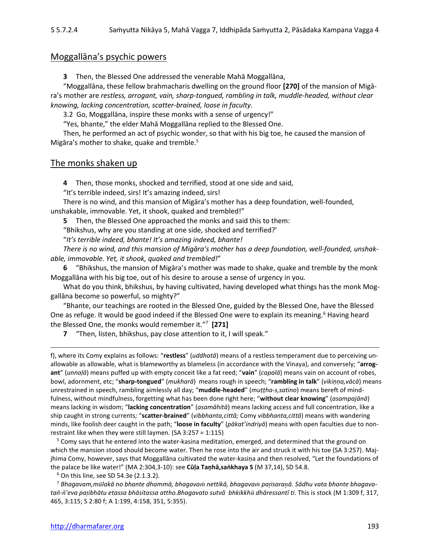## Moggallāna's psychic powers

**3** Then, the Blessed One addressed the venerable Mahā Moggallāna,

"Moggallāna, these fellow brahmacharis dwelling on the ground floor **[270]** of the mansion of Migāra's mother are *restless, arrogant, vain, sharp-tongued, rambling in talk, muddle-headed, without clear knowing, lacking concentration, scatter-brained, loose in faculty*.

3.2 Go, Moggallāna, inspire these monks with a sense of urgency!"

"Yes, bhante," the elder Mahā Moggallāna replied to the Blessed One.

Then, he performed an act of psychic wonder, so that with his big toe, he caused the mansion of Migāra's mother to shake, quake and tremble.<sup>5</sup>

#### The monks shaken up

**4** Then, those monks, shocked and terrified, stood at one side and said,

"It's terrible indeed, sirs! It's amazing indeed, sirs!

There is no wind, and this mansion of Migāra's mother has a deep foundation, well-founded, unshakable, immovable. Yet, it shook, quaked and trembled!"

**5** Then, the Blessed One approached the monks and said this to them:

"Bhikshus, why are you standing at one side, shocked and terrified?'

"*It's terrible indeed, bhante! It's amazing indeed, bhante!*

*There is no wind, and this mansion of Migāra's mother has a deep foundation, well-founded, unshakable, immovable. Yet, it shook, quaked and trembled!*"

**6** "Bhikshus, the mansion of Migāra's mother was made to shake, quake and tremble by the monk Moggallāna with his big toe, out of his desire to arouse a sense of urgency in you.

What do you think, bhikshus, by having cultivated, having developed what things has the monk Moggallāna become so powerful, so mighty?"

"Bhante, our teachings are rooted in the Blessed One, guided by the Blessed One, have the Blessed One as refuge. It would be good indeed if the Blessed One were to explain its meaning.<sup>6</sup> Having heard the Blessed One, the monks would remember it."<sup>7</sup> **[271]**

**7** "Then, listen, bhikshus, pay close attention to it, I will speak."

f), where its Comy explains as follows: "**restless**" (*uddhatā*) means of a restless temperament due to perceiving unallowable as allowable, what is blameworthy as blameless (in accordance with the Vinaya), and conversely; "**arrogant**" (*unnaḷā*) means puffed up with empty conceit like a fat reed; "**vain**" (*capalā*) means vain on account of robes, bowl, adornment, etc; "**sharp-tongued**" (*mukharā*) means rough in speech; "**rambling in talk**" (*vikiṇṇa,vācā*) means unrestrained in speech, rambling aimlessly all day; "**muddle-headed**" (*muṭṭha-s,satino*) means bereft of mindfulness, without mindfulness, forgetting what has been done right here; "**without clear knowing**" (*asampajānā*) means lacking in wisdom; "**lacking concentration**" (*asamāhitā*) means lacking access and full concentration, like a ship caught in strong currents*;* "**scatter-brained**" (*vibbhanta,cittā;* Comy *vibbhanta,cittā*) means with wandering minds, like foolish deer caught in the path; "**loose in faculty**" (*pākat'indriyā*) means with open faculties due to nonrestraint like when they were still laymen. (SA 3:257 = 1:115)

<sup>5</sup> Comy says that he entered into the water-kasina meditation, emerged, and determined that the ground on which the mansion stood should become water. Then he rose into the air and struck it with his toe (SA 3:257). Majjhima Comy, however, says that Moggallāna cultivated the water-kasiṇa and then resolved, "Let the foundations of the palace be like water!" (MA 2:304,3-10): see **Cūḷa Taṇhā,saṅkhaya S** (M 37,14), SD 54.8.

<sup>6</sup> On this line, see SD 54.3e (2.1.3.2).

<sup>7</sup> *Bhagavam,mlakā no bhante dhammā, bhagava nettikā, bhagava paisaraā. Sādhu vata bhante bhagavata-'eva paibhātu etassa bhāsitassa attho.Bhagavato sutvā bhkikkh dhāressantī ti*. This is stock (M 1:309 f, 317, 465, 3:115; S 2:80 f; A 1:199, 4:158, 351, 5:355).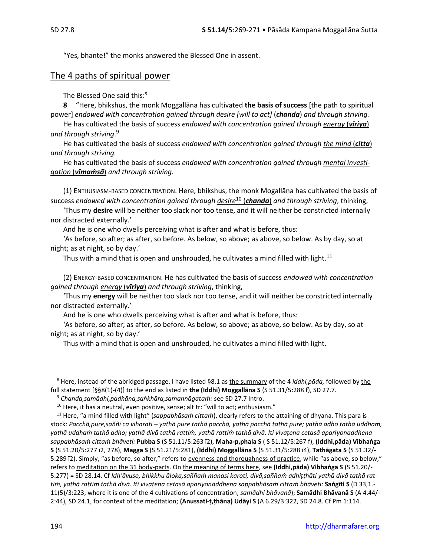"Yes, bhante!" the monks answered the Blessed One in assent.

#### The 4 paths of spiritual power

The Blessed One said this:<sup>8</sup>

**8** "Here, bhikshus, the monk Moggallāna has cultivated **the basis of success** [the path to spiritual power] *endowed with concentration gained through desire [will to act]* (*chanda*) *and through striving.*

He has cultivated the basis of success *endowed with concentration gained through energy* (*vīriya*) *and through striving*. 9

He has cultivated the basis of success *endowed with concentration gained through the mind* (*citta*) *and through striving.*

He has cultivated the basis of success *endowed with concentration gained through mental investigation* (*vīmaṁsā*) *and through striving.*

(1) ENTHUSIASM-BASED CONCENTRATION. Here, bhikshus, the monk Mogallāna has cultivated the basis of success *endowed with concentration gained through desire*<sup>10</sup> (*chanda*) *and through striving*, thinking,

'Thus my **desire** will be neither too slack nor too tense, and it will neither be constricted internally nor distracted externally.'

And he is one who dwells perceiving what is after and what is before, thus:

'As before, so after; as after, so before. As below, so above; as above, so below. As by day, so at night; as at night, so by day.'

Thus with a mind that is open and unshrouded, he cultivates a mind filled with light.<sup>11</sup>

 (2) ENERGY-BASED CONCENTRATION. He has cultivated the basis of success *endowed with concentration gained through energy* (*vīriya*) *and through striving*, thinking,

'Thus my **energy** will be neither too slack nor too tense, and it will neither be constricted internally nor distracted externally.'

And he is one who dwells perceiving what is after and what is before, thus:

'As before, so after; as after, so before. As below, so above; as above, so below. As by day, so at night; as at night, so by day.'

Thus with a mind that is open and unshrouded, he cultivates a mind filled with light.

<sup>8</sup> Here, instead of the abridged passage, I have listed §8.1 as the summary of the 4 *iddhi,pāda,* followed by the full statement [§§8(1)-(4)] to the end as listed in **the (Iddhi) Moggallāna S** (S 51.31/5:288 f), SD 27.7.

<sup>9</sup> *Chanda,samādhi,padhāna,saṅkhāra,samannāgataṁ:* see SD 27.7 Intro.

 $10$  Here, it has a neutral, even positive, sense; alt tr: "will to act; enthusiasm."

<sup>11</sup> Here, "a mind filled with light" (*sappabhāsaṁ cittaṁ*), clearly refers to the attaining of dhyana. This para is stock: *Pacchā,pure,saññī ca viharati – yathā pure tathā pacchā, yathā pacchā tathā pure; yathā adho tathā uddhaṁ, yathā uddhaṁ tathā adho; yathā divā tathā rattiṁ, yathā rattiṁ tathā divā. Iti vivaṭena cetasā apariyonaddhena sappabhāsaṁ cittaṁ bhāveti:* **Pubba S** (S 51.11/5:263 ī2), **Maha-p,phala S** ( S 51.12/5:267 f), **(Iddhi,pāda) Vibhaṅga S** (S 51.20/5:277 ī2, 278), **Magga S** (S 51.21/5:281), **(Iddhi) Moggallāna S** (S 51.31/5:288 ī4), **Tathāgata S** (S 51.32/- 5:289 ī2). Simply, "as before, so after," refers to evenness and thoroughness of practice, while "as above, so below," refers to meditation on the 31 body-parts. On the meaning of terms here, see **(Iddhi,pāda) Vibhaṅga S** (S 51.20/- 5:277) = SD 28.14. Cf *Idh'āvuso, bhikkhu āloka,saññaṁ manasi karoti, divā,saññaṁ adhiṭṭhāti yathā divā tathā rattiṁ, yathā rattiṁ tathā divā. Iti vivaṭena cetasā apariyonaddhena sappabhāsaṁ cittaṁ bhāveti*: **Saṅgīti S** (D 33,1.- 11(5)/3:223, where it is one of the 4 cultivations of concentration, *samādhi bhāvanā*); **Samādhi Bhāvanā S** (A 4.44/- 2:44), SD 24.1, for context of the meditation; **(Anussati-ṭ,ṭhāna) Udāyi S** (A 6.29/3:322, SD 24.8. Cf Pm 1:114.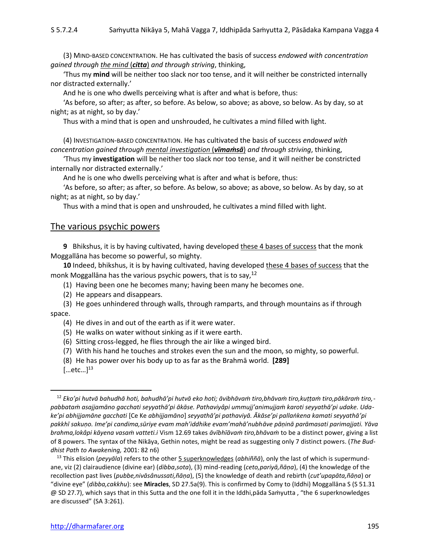(3) MIND-BASED CONCENTRATION. He has cultivated the basis of success *endowed with concentration gained through the mind* (*citta*) *and through striving*, thinking,

'Thus my **mind** will be neither too slack nor too tense, and it will neither be constricted internally nor distracted externally.'

And he is one who dwells perceiving what is after and what is before, thus:

'As before, so after; as after, so before. As below, so above; as above, so below. As by day, so at night; as at night, so by day.'

Thus with a mind that is open and unshrouded, he cultivates a mind filled with light.

(4) INVESTIGATION-BASED CONCENTRATION. He has cultivated the basis of success *endowed with concentration gained through mental investigation* (*vīmaṁsā*) *and through striving*, thinking,

'Thus my **investigation** will be neither too slack nor too tense, and it will neither be constricted internally nor distracted externally.'

And he is one who dwells perceiving what is after and what is before, thus:

'As before, so after; as after, so before. As below, so above; as above, so below. As by day, so at night; as at night, so by day.'

Thus with a mind that is open and unshrouded, he cultivates a mind filled with light.

#### The various psychic powers

**9** Bhikshus, it is by having cultivated, having developed these 4 bases of success that the monk Moggallāna has become so powerful, so mighty.

**10** Indeed, bhikshus, it is by having cultivated, having developed these 4 bases of success that the monk Moggallāna has the various psychic powers, that is to say,  $12$ 

(1) Having been one he becomes many; having been many he becomes one.

(2) He appears and disappears.

(3) He goes unhindered through walls, through ramparts, and through mountains as if through space.

(4) He dives in and out of the earth as if it were water.

- (5) He walks on water without sinking as if it were earth.
- (6) Sitting cross-legged, he flies through the air like a winged bird.
- (7) With his hand he touches and strokes even the sun and the moon, so mighty, so powerful.
- (8) He has power over his body up to as far as the Brahmā world. **[289]**

 $[...etc...]^{13}$ 

<sup>12</sup> *Eko'pi hutvā bahudhā hoti, bahudhā'pi hutvā eko hoti; āvibhāvaṁ tiro,bhāvaṁ tiro,kuṭṭaṁ tiro,pākāraṁ tiro, pabbataṁ asajjamāno gacchati seyyathā'pi ākāse. Pathaviyâpi ummujj'animujjaṁ karoti seyyathā'pi udake. Udake'pi abhijjamāne gacchati* [Ce Ke *abhijjamāno*] *seyyathā'pi pathaviyā. Ākāse'pi pallaṅkena kamati seyyathā'pi pakkhī sakuṇo. Ime'pi candima,sūriye evam mah'iddhike evam'mahā'nubhāve pāṇinā parāmasati parimajjati. Yāva brahma,lokâpi kāyena vasaṁ vatteti.i* Vism 12.69 takes *āvībhīāvaṁ tiro,bhāvaṁ* to be a distinct power, giving a list of 8 powers. The syntax of the Nikāya, Gethin notes, might be read as suggesting only 7 distinct powers. (*The Buddhist Path to Awakening,* 2001: 82 n6)

<sup>13</sup> This elision (*peyyāla*) refers to the other 5 superknowledges (*abhiññā*), only the last of which is supermundane, viz (2) clairaudience (divine ear) (*dibba*,*sota*), (3) mind-reading (*ceto,pariyā,ñāṇa*), (4) the knowledge of the recollection past lives (*pubbe,nivāsânussati,ñāṇa*), (5) the knowledge of death and rebirth (*cut'upapāta,ñāṇa*) or "divine eye" (*dibba,cakkhu*): see **Miracles**, SD 27.5a(9). This is confirmed by Comy to (Iddhi) Moggallāna S (S 51.31 @ SD 27.7), which says that in this Sutta and the one foll it in the Iddhi,pāda Saṁyutta , "the 6 superknowledges are discussed" (SA 3:261).